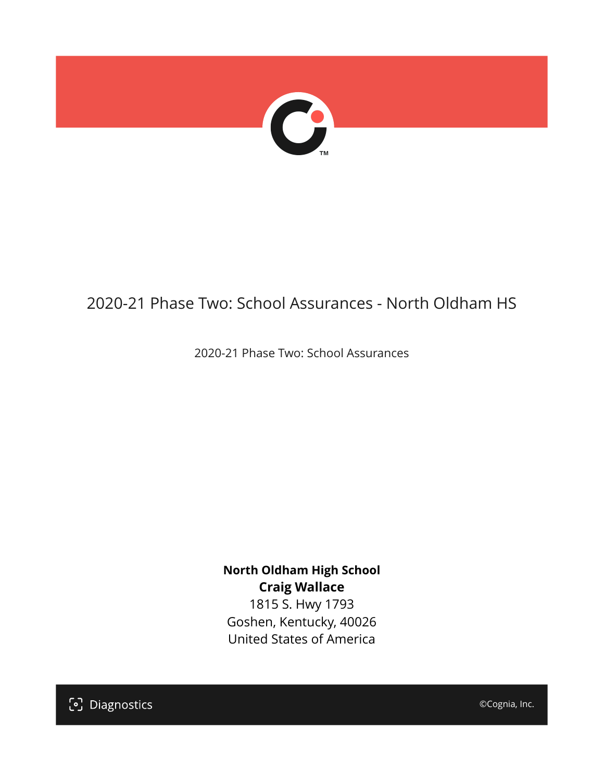

# 2020-21 Phase Two: School Assurances - North Oldham HS

2020-21 Phase Two: School Assurances

**North Oldham High School Craig Wallace** 1815 S. Hwy 1793 Goshen, Kentucky, 40026 United States of America

[၁] Diagnostics

©Cognia, Inc.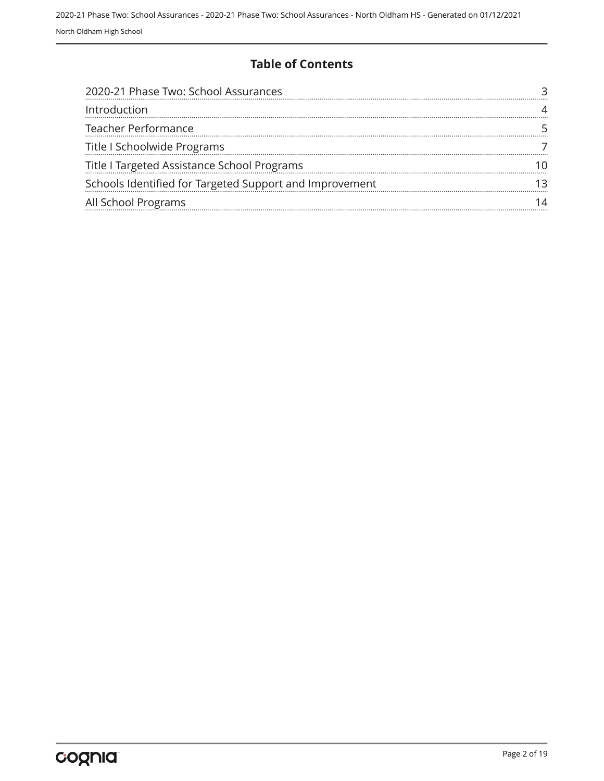#### **Table of Contents**

| 2020-21 Phase Two: School Assurances                    |  |
|---------------------------------------------------------|--|
| Introduction                                            |  |
| Teacher Performance                                     |  |
| Title I Schoolwide Programs                             |  |
| Title I Targeted Assistance School Programs             |  |
| Schools Identified for Targeted Support and Improvement |  |
| All School Programs                                     |  |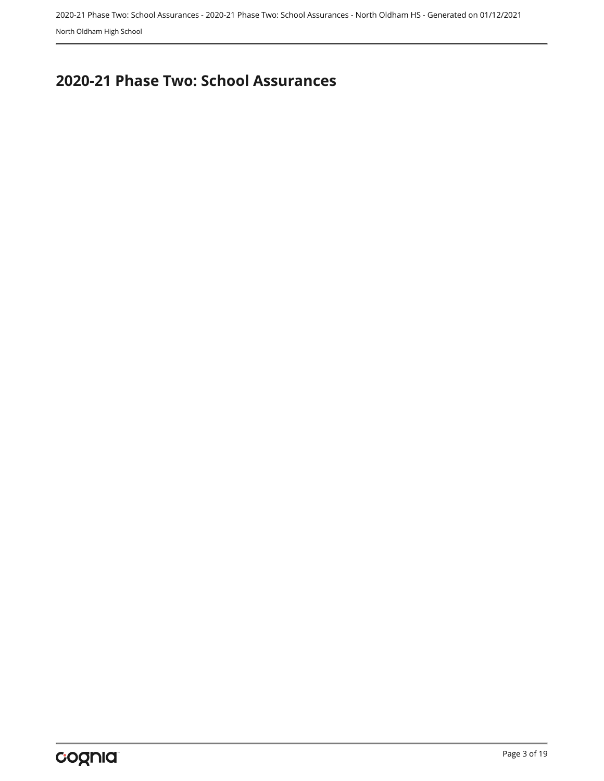## <span id="page-2-0"></span>**2020-21 Phase Two: School Assurances**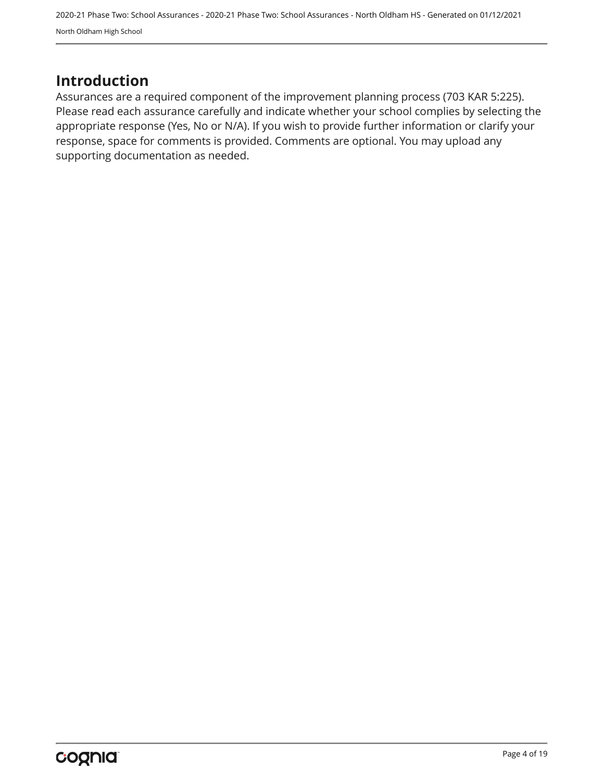### <span id="page-3-0"></span>**Introduction**

Assurances are a required component of the improvement planning process (703 KAR 5:225). Please read each assurance carefully and indicate whether your school complies by selecting the appropriate response (Yes, No or N/A). If you wish to provide further information or clarify your response, space for comments is provided. Comments are optional. You may upload any supporting documentation as needed.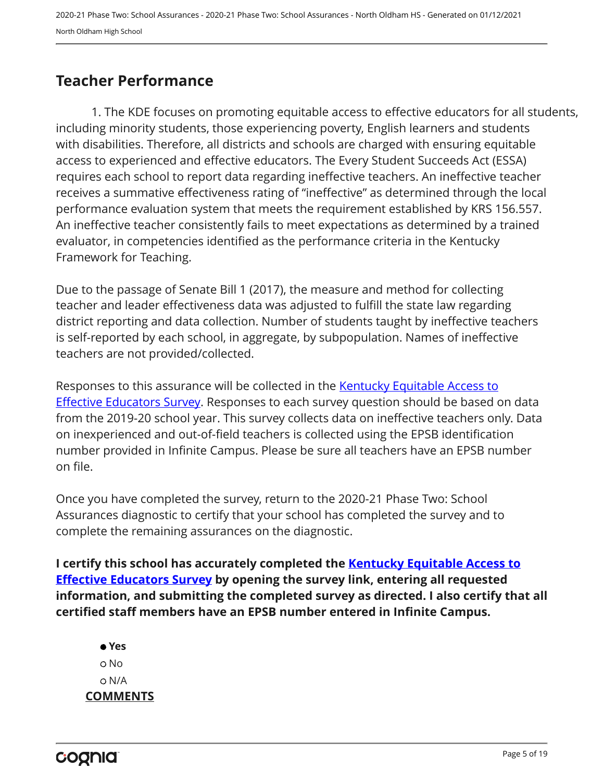## <span id="page-4-0"></span>**Teacher Performance**

1. The KDE focuses on promoting equitable access to effective educators for all students, including minority students, those experiencing poverty, English learners and students with disabilities. Therefore, all districts and schools are charged with ensuring equitable access to experienced and effective educators. The Every Student Succeeds Act (ESSA) requires each school to report data regarding ineffective teachers. An ineffective teacher receives a summative effectiveness rating of "ineffective" as determined through the local performance evaluation system that meets the requirement established by KRS 156.557. An ineffective teacher consistently fails to meet expectations as determined by a trained evaluator, in competencies identified as the performance criteria in the Kentucky Framework for Teaching.

Due to the passage of Senate Bill 1 (2017), the measure and method for collecting teacher and leader effectiveness data was adjusted to fulfill the state law regarding district reporting and data collection. Number of students taught by ineffective teachers is self-reported by each school, in aggregate, by subpopulation. Names of ineffective teachers are not provided/collected.

Responses to this assurance will be collected in the [Kentucky Equitable Access to](https://www.surveymonkey.com/r/PNPMCCV) **[Effective Educators Survey](https://www.surveymonkey.com/r/PNPMCCV).** Responses to each survey question should be based on data from the 2019-20 school year. This survey collects data on ineffective teachers only. Data on inexperienced and out-of-field teachers is collected using the EPSB identification number provided in Infinite Campus. Please be sure all teachers have an EPSB number on file.

Once you have completed the survey, return to the 2020-21 Phase Two: School Assurances diagnostic to certify that your school has completed the survey and to complete the remaining assurances on the diagnostic.

**I certify this school has accurately completed the [Kentucky Equitable Access to](https://www.surveymonkey.com/r/PNPMCCV) [Effective Educators Survey](https://www.surveymonkey.com/r/PNPMCCV) by opening the survey link, entering all requested information, and submitting the completed survey as directed. I also certify that all certified staff members have an EPSB number entered in Infinite Campus.**

 **Yes** No N/A **COMMENTS**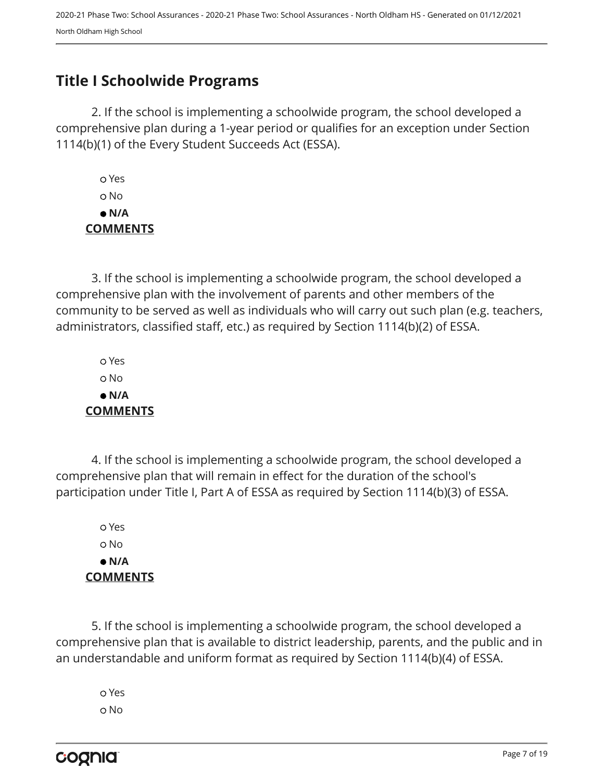## <span id="page-6-0"></span>**Title I Schoolwide Programs**

2. If the school is implementing a schoolwide program, the school developed a comprehensive plan during a 1-year period or qualifies for an exception under Section 1114(b)(1) of the Every Student Succeeds Act (ESSA).

 Yes o No  **N/A COMMENTS**

3. If the school is implementing a schoolwide program, the school developed a comprehensive plan with the involvement of parents and other members of the community to be served as well as individuals who will carry out such plan (e.g. teachers, administrators, classified staff, etc.) as required by Section 1114(b)(2) of ESSA.

 Yes o No  **N/A COMMENTS**

4. If the school is implementing a schoolwide program, the school developed a comprehensive plan that will remain in effect for the duration of the school's participation under Title I, Part A of ESSA as required by Section 1114(b)(3) of ESSA.

 Yes No  **N/A COMMENTS**

5. If the school is implementing a schoolwide program, the school developed a comprehensive plan that is available to district leadership, parents, and the public and in an understandable and uniform format as required by Section 1114(b)(4) of ESSA.

 Yes o No

cognia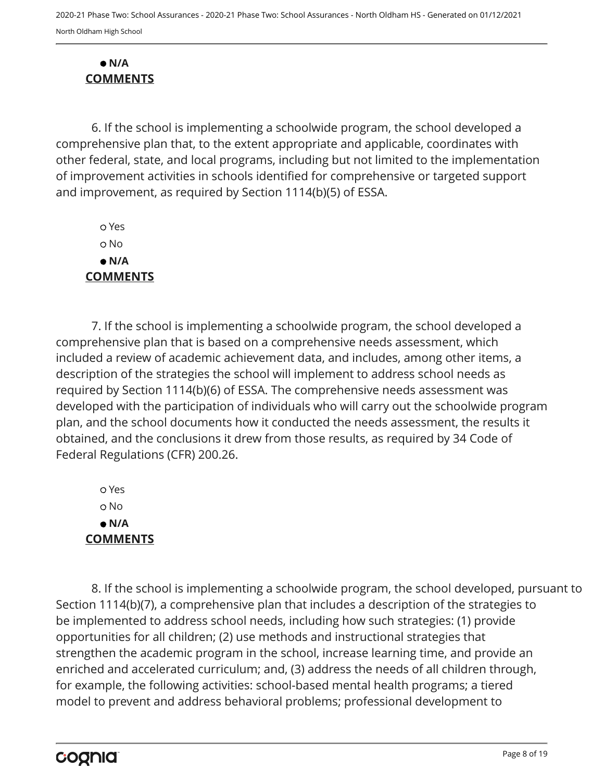#### **N/A COMMENTS**

6. If the school is implementing a schoolwide program, the school developed a comprehensive plan that, to the extent appropriate and applicable, coordinates with other federal, state, and local programs, including but not limited to the implementation of improvement activities in schools identified for comprehensive or targeted support and improvement, as required by Section 1114(b)(5) of ESSA.

 Yes No  **N/A COMMENTS**

7. If the school is implementing a schoolwide program, the school developed a comprehensive plan that is based on a comprehensive needs assessment, which included a review of academic achievement data, and includes, among other items, a description of the strategies the school will implement to address school needs as required by Section 1114(b)(6) of ESSA. The comprehensive needs assessment was developed with the participation of individuals who will carry out the schoolwide program plan, and the school documents how it conducted the needs assessment, the results it obtained, and the conclusions it drew from those results, as required by 34 Code of Federal Regulations (CFR) 200.26.

 Yes No  **N/A COMMENTS**

8. If the school is implementing a schoolwide program, the school developed, pursuant to Section 1114(b)(7), a comprehensive plan that includes a description of the strategies to be implemented to address school needs, including how such strategies: (1) provide opportunities for all children; (2) use methods and instructional strategies that strengthen the academic program in the school, increase learning time, and provide an enriched and accelerated curriculum; and, (3) address the needs of all children through, for example, the following activities: school-based mental health programs; a tiered model to prevent and address behavioral problems; professional development to

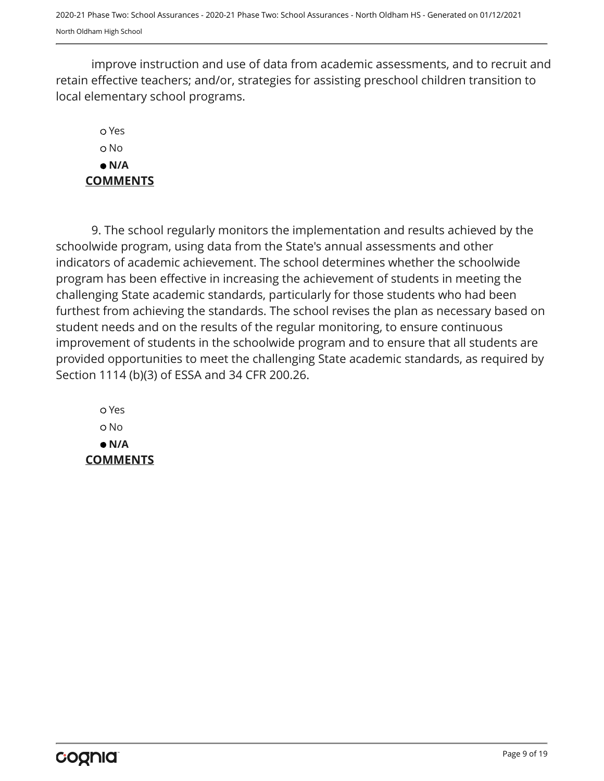improve instruction and use of data from academic assessments, and to recruit and retain effective teachers; and/or, strategies for assisting preschool children transition to local elementary school programs.

#### Yes o No  **N/A COMMENTS**

9. The school regularly monitors the implementation and results achieved by the schoolwide program, using data from the State's annual assessments and other indicators of academic achievement. The school determines whether the schoolwide program has been effective in increasing the achievement of students in meeting the challenging State academic standards, particularly for those students who had been furthest from achieving the standards. The school revises the plan as necessary based on student needs and on the results of the regular monitoring, to ensure continuous improvement of students in the schoolwide program and to ensure that all students are provided opportunities to meet the challenging State academic standards, as required by Section 1114 (b)(3) of ESSA and 34 CFR 200.26.

 Yes o No  **N/A COMMENTS**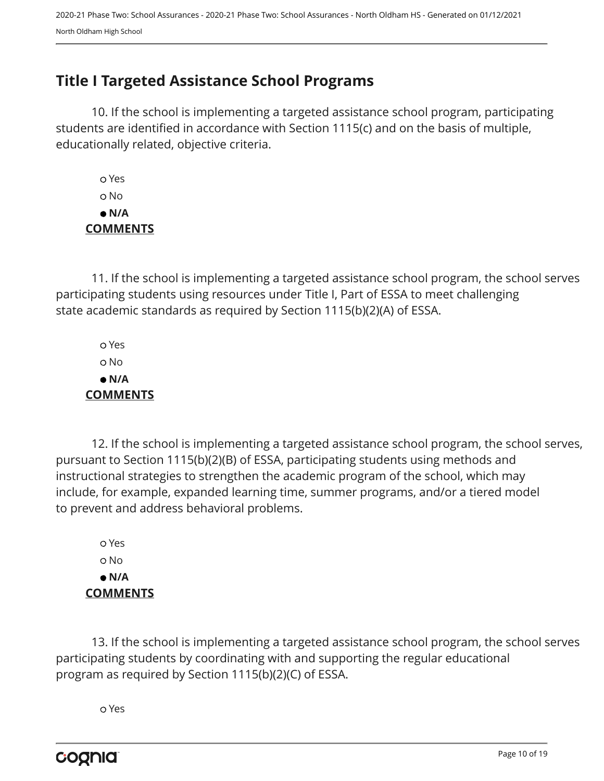## <span id="page-9-0"></span>**Title I Targeted Assistance School Programs**

10. If the school is implementing a targeted assistance school program, participating students are identified in accordance with Section 1115(c) and on the basis of multiple, educationally related, objective criteria.

 Yes o No  **N/A COMMENTS**

11. If the school is implementing a targeted assistance school program, the school serves participating students using resources under Title I, Part of ESSA to meet challenging state academic standards as required by Section 1115(b)(2)(A) of ESSA.

 Yes No  **N/A COMMENTS**

12. If the school is implementing a targeted assistance school program, the school serves, pursuant to Section 1115(b)(2)(B) of ESSA, participating students using methods and instructional strategies to strengthen the academic program of the school, which may include, for example, expanded learning time, summer programs, and/or a tiered model to prevent and address behavioral problems.

 Yes o No  **N/A COMMENTS**

13. If the school is implementing a targeted assistance school program, the school serves participating students by coordinating with and supporting the regular educational program as required by Section 1115(b)(2)(C) of ESSA.

Yes

cognia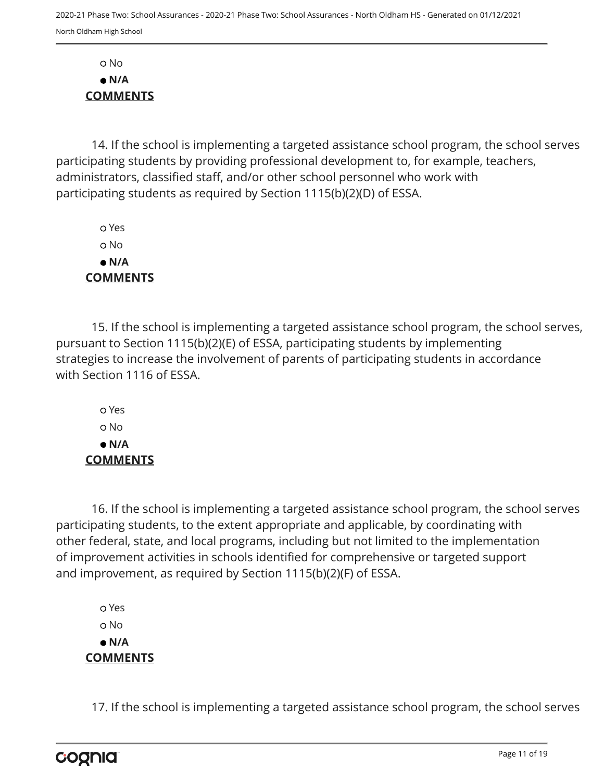No  **N/A COMMENTS**

14. If the school is implementing a targeted assistance school program, the school serves participating students by providing professional development to, for example, teachers, administrators, classified staff, and/or other school personnel who work with participating students as required by Section 1115(b)(2)(D) of ESSA.

 Yes No  **N/A COMMENTS**

15. If the school is implementing a targeted assistance school program, the school serves, pursuant to Section 1115(b)(2)(E) of ESSA, participating students by implementing strategies to increase the involvement of parents of participating students in accordance with Section 1116 of ESSA.

 Yes o No  **N/A COMMENTS**

16. If the school is implementing a targeted assistance school program, the school serves participating students, to the extent appropriate and applicable, by coordinating with other federal, state, and local programs, including but not limited to the implementation of improvement activities in schools identified for comprehensive or targeted support and improvement, as required by Section 1115(b)(2)(F) of ESSA.

 Yes o No  **N/A COMMENTS**

17. If the school is implementing a targeted assistance school program, the school serves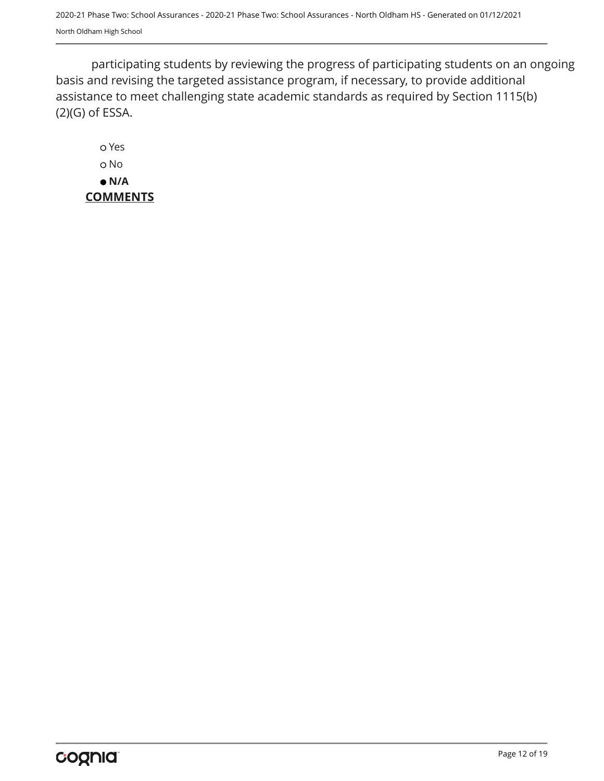participating students by reviewing the progress of participating students on an ongoing basis and revising the targeted assistance program, if necessary, to provide additional assistance to meet challenging state academic standards as required by Section 1115(b) (2)(G) of ESSA.

 Yes o No  **N/A COMMENTS**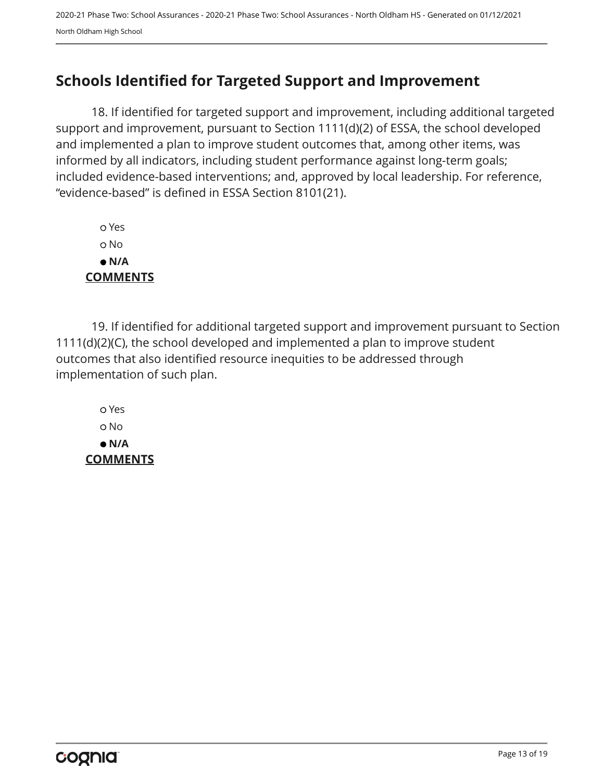## <span id="page-12-0"></span>**Schools Identified for Targeted Support and Improvement**

18. If identified for targeted support and improvement, including additional targeted support and improvement, pursuant to Section 1111(d)(2) of ESSA, the school developed and implemented a plan to improve student outcomes that, among other items, was informed by all indicators, including student performance against long-term goals; included evidence-based interventions; and, approved by local leadership. For reference, "evidence-based" is defined in ESSA Section 8101(21).

 Yes No  **N/A COMMENTS**

19. If identified for additional targeted support and improvement pursuant to Section 1111(d)(2)(C), the school developed and implemented a plan to improve student outcomes that also identified resource inequities to be addressed through implementation of such plan.

 Yes No  **N/A COMMENTS**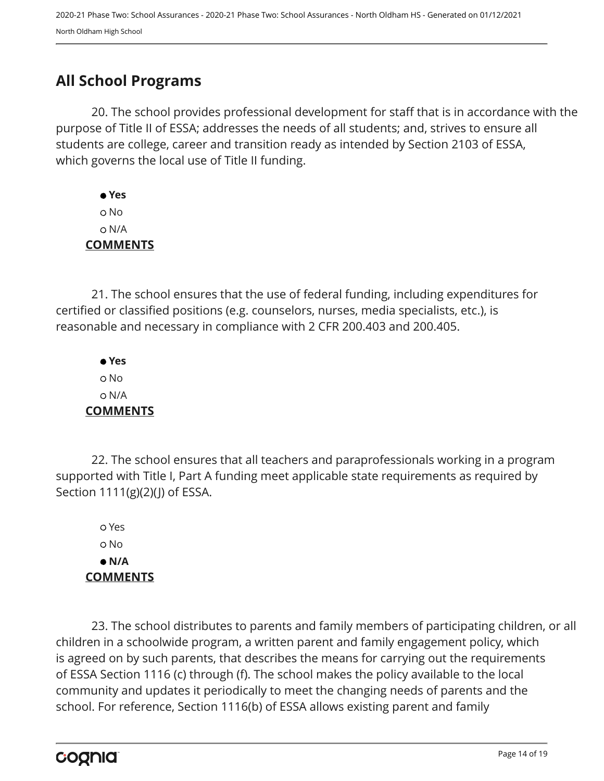## <span id="page-13-0"></span>**All School Programs**

20. The school provides professional development for staff that is in accordance with the purpose of Title II of ESSA; addresses the needs of all students; and, strives to ensure all students are college, career and transition ready as intended by Section 2103 of ESSA, which governs the local use of Title II funding.

 **Yes** No N/A **COMMENTS**

21. The school ensures that the use of federal funding, including expenditures for certified or classified positions (e.g. counselors, nurses, media specialists, etc.), is reasonable and necessary in compliance with 2 CFR 200.403 and 200.405.

 **Yes** No N/A **COMMENTS**

22. The school ensures that all teachers and paraprofessionals working in a program supported with Title I, Part A funding meet applicable state requirements as required by Section 1111(g)(2)(J) of ESSA.

 Yes No  **N/A COMMENTS**

23. The school distributes to parents and family members of participating children, or all children in a schoolwide program, a written parent and family engagement policy, which is agreed on by such parents, that describes the means for carrying out the requirements of ESSA Section 1116 (c) through (f). The school makes the policy available to the local community and updates it periodically to meet the changing needs of parents and the school. For reference, Section 1116(b) of ESSA allows existing parent and family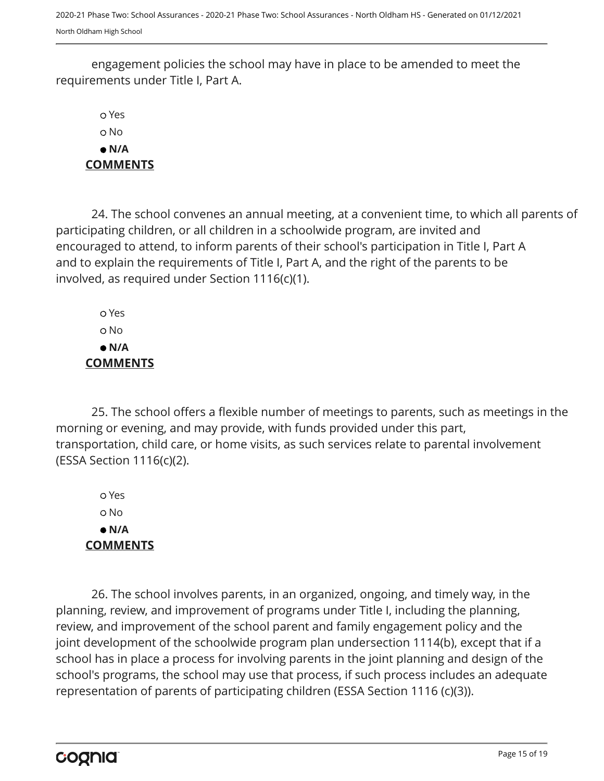engagement policies the school may have in place to be amended to meet the requirements under Title I, Part A.

 Yes No  **N/A COMMENTS**

24. The school convenes an annual meeting, at a convenient time, to which all parents of participating children, or all children in a schoolwide program, are invited and encouraged to attend, to inform parents of their school's participation in Title I, Part A and to explain the requirements of Title I, Part A, and the right of the parents to be involved, as required under Section 1116(c)(1).

 Yes No  **N/A COMMENTS**

25. The school offers a flexible number of meetings to parents, such as meetings in the morning or evening, and may provide, with funds provided under this part, transportation, child care, or home visits, as such services relate to parental involvement (ESSA Section 1116(c)(2).

 Yes No  **N/A COMMENTS**

26. The school involves parents, in an organized, ongoing, and timely way, in the planning, review, and improvement of programs under Title I, including the planning, review, and improvement of the school parent and family engagement policy and the joint development of the schoolwide program plan undersection 1114(b), except that if a school has in place a process for involving parents in the joint planning and design of the school's programs, the school may use that process, if such process includes an adequate representation of parents of participating children (ESSA Section 1116 (c)(3)).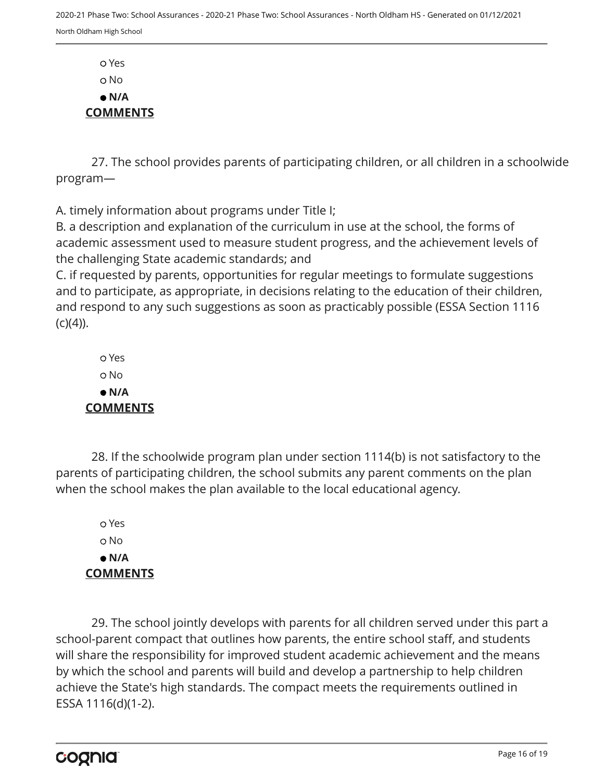Yes o No  **N/A COMMENTS**

27. The school provides parents of participating children, or all children in a schoolwide program—

A. timely information about programs under Title I;

B. a description and explanation of the curriculum in use at the school, the forms of academic assessment used to measure student progress, and the achievement levels of the challenging State academic standards; and

C. if requested by parents, opportunities for regular meetings to formulate suggestions and to participate, as appropriate, in decisions relating to the education of their children, and respond to any such suggestions as soon as practicably possible (ESSA Section 1116  $(C)(4)$ ).

 Yes o No  **N/A COMMENTS**

28. If the schoolwide program plan under section 1114(b) is not satisfactory to the parents of participating children, the school submits any parent comments on the plan when the school makes the plan available to the local educational agency.

 Yes o No  **N/A COMMENTS**

29. The school jointly develops with parents for all children served under this part a school-parent compact that outlines how parents, the entire school staff, and students will share the responsibility for improved student academic achievement and the means by which the school and parents will build and develop a partnership to help children achieve the State's high standards. The compact meets the requirements outlined in ESSA 1116(d)(1-2).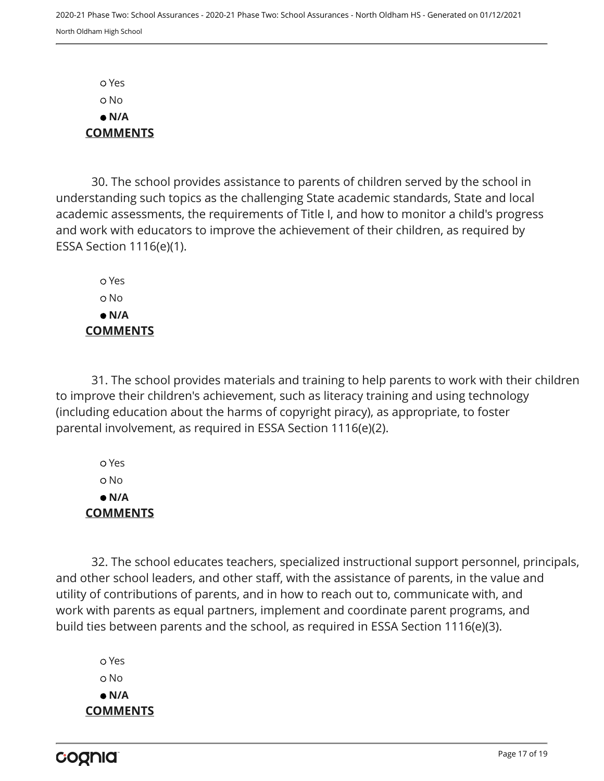Yes No  **N/A COMMENTS**

30. The school provides assistance to parents of children served by the school in understanding such topics as the challenging State academic standards, State and local academic assessments, the requirements of Title I, and how to monitor a child's progress and work with educators to improve the achievement of their children, as required by ESSA Section 1116(e)(1).

 Yes o No  **N/A COMMENTS**

31. The school provides materials and training to help parents to work with their children to improve their children's achievement, such as literacy training and using technology (including education about the harms of copyright piracy), as appropriate, to foster parental involvement, as required in ESSA Section 1116(e)(2).

 Yes No  **N/A COMMENTS**

32. The school educates teachers, specialized instructional support personnel, principals, and other school leaders, and other staff, with the assistance of parents, in the value and utility of contributions of parents, and in how to reach out to, communicate with, and work with parents as equal partners, implement and coordinate parent programs, and build ties between parents and the school, as required in ESSA Section 1116(e)(3).

 Yes o No  **N/A COMMENTS**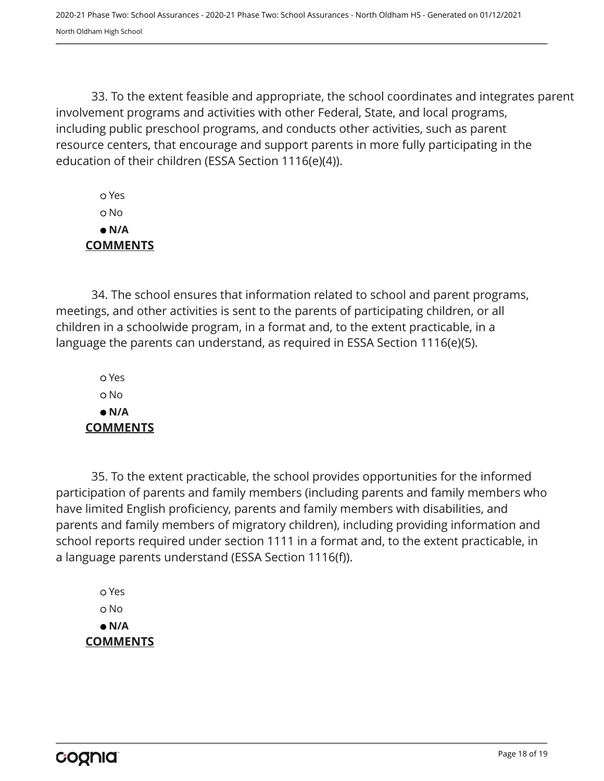33. To the extent feasible and appropriate, the school coordinates and integrates parent involvement programs and activities with other Federal, State, and local programs, including public preschool programs, and conducts other activities, such as parent resource centers, that encourage and support parents in more fully participating in the education of their children (ESSA Section 1116(e)(4)).

 Yes No  **N/A COMMENTS**

34. The school ensures that information related to school and parent programs, meetings, and other activities is sent to the parents of participating children, or all children in a schoolwide program, in a format and, to the extent practicable, in a language the parents can understand, as required in ESSA Section 1116(e)(5).

 Yes o No  **N/A COMMENTS**

35. To the extent practicable, the school provides opportunities for the informed participation of parents and family members (including parents and family members who have limited English proficiency, parents and family members with disabilities, and parents and family members of migratory children), including providing information and school reports required under section 1111 in a format and, to the extent practicable, in a language parents understand (ESSA Section 1116(f)).

 Yes No  **N/A COMMENTS**